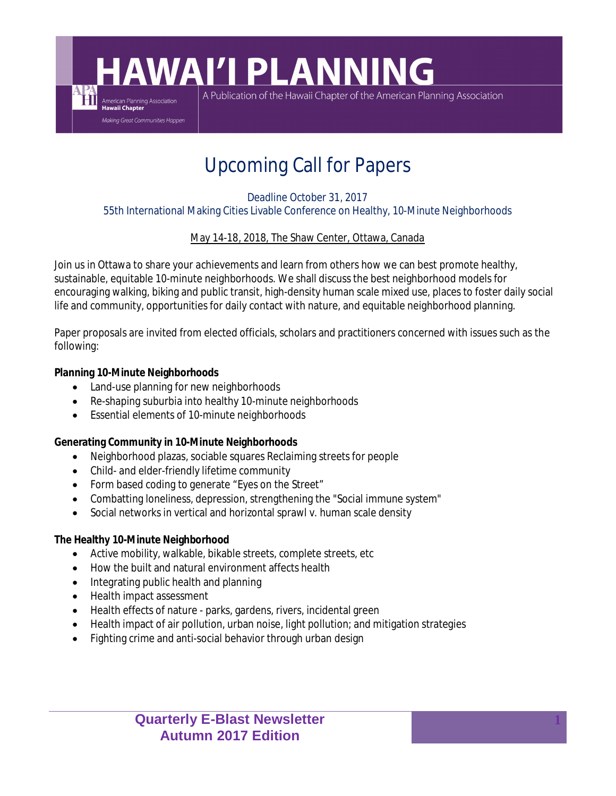# **HAWAI'I PLANNING**

A Publication of the Hawaii Chapter of the American Planning Association

## Upcoming Call for Papers

#### Deadline October 31, 2017

55th International Making Cities Livable Conference on Healthy, 10-Minute Neighborhoods

#### May 14-18, 2018, The Shaw Center, Ottawa, Canada

Join us in Ottawa to share your achievements and learn from others how we can best promote healthy, sustainable, equitable 10-minute neighborhoods. We shall discuss the best neighborhood models for encouraging walking, biking and public transit, high-density human scale mixed use, places to foster daily social life and community, opportunities for daily contact with nature, and equitable neighborhood planning.

Paper proposals are invited from elected officials, scholars and practitioners concerned with issues such as the following:

**Planning 10-Minute Neighborhoods**

American Planning Association<br>Hawaii Chapter Making Great Communities Happen

- Land-use planning for new neighborhoods
- Re-shaping suburbia into healthy 10-minute neighborhoods
- **Essential elements of 10-minute neighborhoods**

**Generating Community in 10-Minute Neighborhoods**

- Neighborhood plazas, sociable squares Reclaiming streets for people
- Child- and elder-friendly lifetime community
- Form based coding to generate "Eyes on the Street"
- Combatting loneliness, depression, strengthening the "Social immune system"
- Social networks in vertical and horizontal sprawl v. human scale density

**The Healthy 10-Minute Neighborhood**

- Active mobility, walkable, bikable streets, complete streets, etc
- How the built and natural environment affects health
- Integrating public health and planning
- Health impact assessment
- $\bullet$  Health effects of nature parks, gardens, rivers, incidental green
- Health impact of air pollution, urban noise, light pollution; and mitigation strategies
- Fighting crime and anti-social behavior through urban design